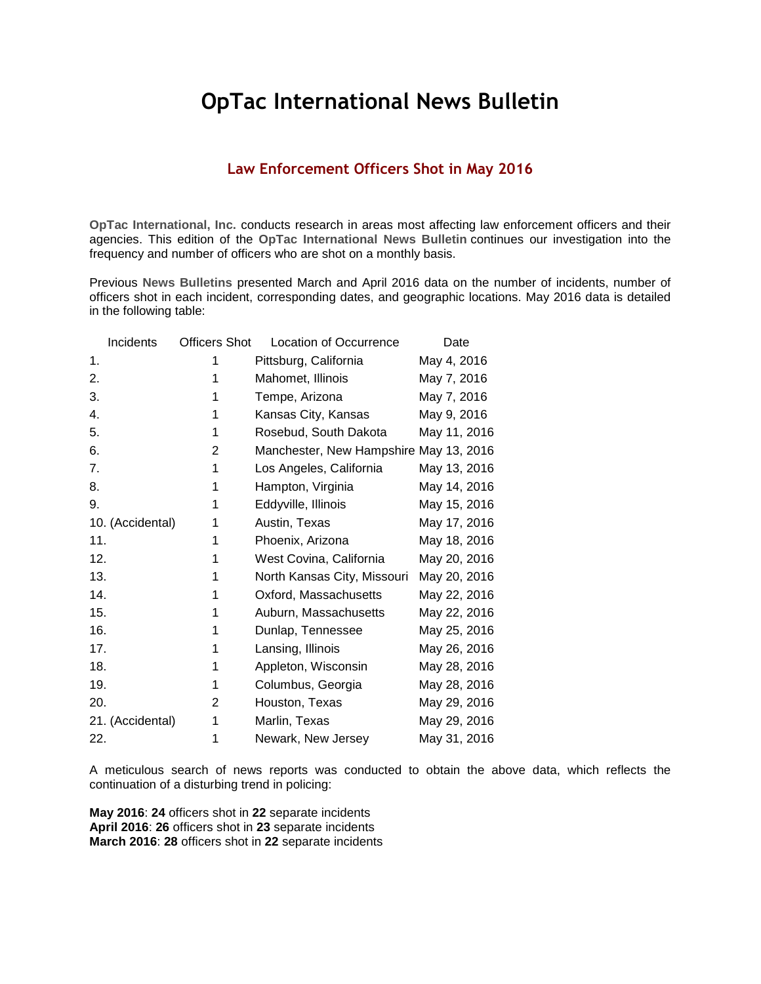## **OpTac International News Bulletin**

## **Law Enforcement Officers Shot in May 2016**

**OpTac International, Inc.** conducts research in areas most affecting law enforcement officers and their agencies. This edition of the **OpTac International News Bulletin** continues our investigation into the frequency and number of officers who are shot on a monthly basis.

Previous **News Bulletins** presented March and April 2016 data on the number of incidents, number of officers shot in each incident, corresponding dates, and geographic locations. May 2016 data is detailed in the following table:

| Incidents        | <b>Officers Shot</b> | <b>Location of Occurrence</b>          | Date         |
|------------------|----------------------|----------------------------------------|--------------|
| 1.               | 1                    | Pittsburg, California                  | May 4, 2016  |
| 2.               | 1                    | Mahomet, Illinois                      | May 7, 2016  |
| 3.               | 1                    | Tempe, Arizona                         | May 7, 2016  |
| 4.               | 1                    | Kansas City, Kansas                    | May 9, 2016  |
| 5.               | 1                    | Rosebud, South Dakota                  | May 11, 2016 |
| 6.               | 2                    | Manchester, New Hampshire May 13, 2016 |              |
| 7.               | 1                    | Los Angeles, California                | May 13, 2016 |
| 8.               | 1                    | Hampton, Virginia                      | May 14, 2016 |
| 9.               | 1                    | Eddyville, Illinois                    | May 15, 2016 |
| 10. (Accidental) | 1                    | Austin, Texas                          | May 17, 2016 |
| 11.              | 1                    | Phoenix, Arizona                       | May 18, 2016 |
| 12.              | 1                    | West Covina, California                | May 20, 2016 |
| 13.              | 1                    | North Kansas City, Missouri            | May 20, 2016 |
| 14.              | 1                    | Oxford, Massachusetts                  | May 22, 2016 |
| 15.              | 1                    | Auburn, Massachusetts                  | May 22, 2016 |
| 16.              | 1                    | Dunlap, Tennessee                      | May 25, 2016 |
| 17.              | 1                    | Lansing, Illinois                      | May 26, 2016 |
| 18.              | 1                    | Appleton, Wisconsin                    | May 28, 2016 |
| 19.              | 1                    | Columbus, Georgia                      | May 28, 2016 |
| 20.              | 2                    | Houston, Texas                         | May 29, 2016 |
| 21. (Accidental) | 1                    | Marlin, Texas                          | May 29, 2016 |
| 22.              | 1                    | Newark, New Jersey                     | May 31, 2016 |

A meticulous search of news reports was conducted to obtain the above data, which reflects the continuation of a disturbing trend in policing:

**May 2016**: **24** officers shot in **22** separate incidents **April 2016**: **26** officers shot in **23** separate incidents **March 2016**: **28** officers shot in **22** separate incidents